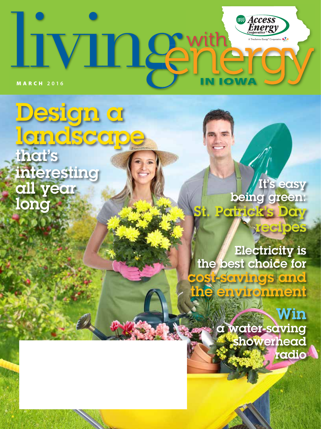# **Access**<br>Energy **IVINGE** Cooperative **KIX IN IOWA** MARCH **2016**

Design a landscape that's interesting all year long

It's easy being green: Patrick's Day

recipes

Electricity is the best choice for t-savings and the environment

> **Win** a water-saving showerhead radio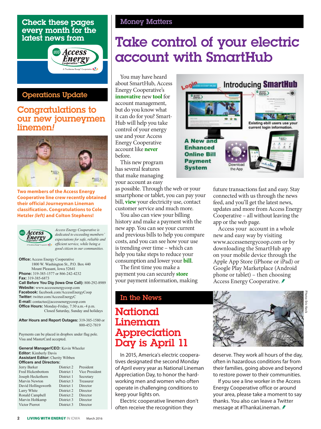### Check these pages every month for the latest news from



### Operations Update

## Congratulations to our new journeymen linemen*!*



**Two members of the Access Energy Cooperative line crew recently obtained their official Journeyman Lineman classification. Congratulations to Cole Hetzler** *(left)* **and Colton Stephens!**



*Access Energy Cooperative is dedicated to exceeding members' expectations for safe, reliable and efficient service, while being a good citizen in our communities.*

**Office:** Access Energy Cooperative 1800 W. Washington St., P.O. Box 440 Mount Pleasant, Iowa 52641 **Phone:** 319-385-1577 or 866-242-4232 **Fax:** 319-385-6873 **Call Before You Dig (Iowa One Call):** 800-292-8989 **Website:** www.accessenergycoop.com **Facebook:** facebook.com/AccessEnergyCoop **Twitter:** twitter.com/AccessEnergyC **E-mail:** contactus@accessenergycoop.com **Office Hours:** Monday-Friday, 7:30 a.m.-4 p.m. Closed Saturday, Sunday and holidays

**After Hours and Report Outages:** 319-385-1580 or 800-452-7819

Payments can be placed in dropbox under flag pole. Visa and MasterCard accepted.

#### **General Manager/CEO:** Kevin Wheeler **Editor:** Kimberly Davis **Assistant Editor:** Cherity Wibben **Officers and Directors:** Jerry Barker District 2 President

| JULI V DULNUL       | $\sim$     | 1.13311111     |
|---------------------|------------|----------------|
| Fred Hickenbottom   | District 1 | Vice President |
| Joseph Heckethorn   | District 1 | Secretary      |
| Marvin Newton       | District 3 | Treasurer      |
| David Hollingsworth | District 1 | Director       |
| Larry White         | District 2 | Director       |
| Ronald Campbell     | District 2 | Director       |
| Marvin Holtkamp     | District 3 | Director       |
| Victor Pierrot      | District 3 | Director       |
|                     |            |                |

#### Money Matters

# Take control of your electric account with SmartHub

You may have heard about SmartHub, Access Energy Cooperative's **innovative** new **tool** for account management, but do you know what it can do for you? Smart-Hub will help you take control of your energy use and your Access Energy Cooperative account like **never** before.

This new program has several features that make managing your account as easy

as possible. Through the web or your smartphone or tablet, you can pay your bill, **view** your electricity use, contact customer service and much more.

You also can view your billing history and make a payment with the new app. You can see your current and previous bills to help you compare costs, and you can see how your use is trending over time – which can help you take steps to reduce your consumption and lower your **bill**.

The first time you make a payment you can securely **store** your payment information, making

### In the News

# **National** Lineman Appreciation Day is April 11

In 2015, America's electric cooperatives designated the second Monday of April every year as National Lineman Appreciation Day, to honor the hardworking men and women who often operate in challenging conditions to keep your lights on.

Electric cooperative linemen don't often receive the recognition they



future transactions fast and easy. Stay connected with us through the news feed, and you'll get the latest news, updates and more from Access Energy Cooperative – all without leaving the app or the web page.

Access your account in a whole new and easy way by visiting www.accessenergycoop.com or by downloading the SmartHub app on your mobile device through the Apple App Store (iPhone or iPad) or Google Play Marketplace (Android phone or tablet) – then choosing Access Energy Cooperative. *≢* 



deserve. They work all hours of the day, often in hazardous conditions far from their families, going above and beyond to restore power to their communities.

If you see a line worker in the Access Energy Cooperative office or around your area, please take a moment to say thanks. You also can leave a Twitter message at #ThankaLineman.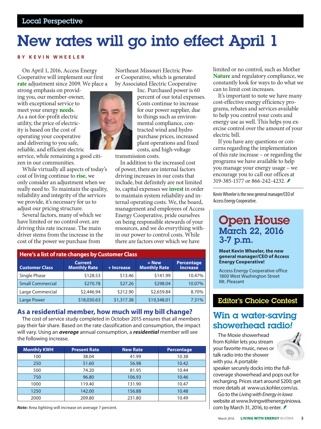# New rates will go into effect April 1

#### **BY KEVIN WHEELER**

On April 1, 2016, Access Energy Cooperative will implement our first **rate** adjustment since 2009. We place a

strong emphasis on providing you, our member-owner, with exceptional service to meet your energy **needs**. As a not-for-profit electric utility, the price of electricity is based on the cost of operating your cooperative and delivering to you safe, reliable, and efficient electric

service, while remaining a good citizen in our communities.

While virtually all aspects of today's cost of living continue to **rise**, we only consider an adjustment when we really need to. To maintain the quality, reliability and integrity of the services we provide, it's necessary for us to adjust our pricing structure.

Several factors, many of which we have limited or no control over, are driving this rate increase. The main driver stems from the increase in the cost of the power we purchase from



Northeast Missouri Electric Power Cooperative, which is generated by Associated Electric Cooperative

> Inc. Purchased power is 60 percent of our total expenses. Costs continue to increase for our power supplier, due to things such as environmental compliance, contracted wind and hydro purchase prices, increased plant operations and fixed costs, and high-voltage

transmission costs.

In addition to the increased cost of power, there are internal factors driving increases in our costs that include, but definitely are not limited to, capital expenses we **invest** in order to maintain system reliability and internal operating costs. We, the board, management and employees of Access Energy Cooperative, pride ourselves on being responsible stewards of your resources, and we do everything within our power to control costs. While there are factors over which we have

| Here's a list of rate changes by Customer Class |                                       |            |                                  |                                      |  |  |  |
|-------------------------------------------------|---------------------------------------|------------|----------------------------------|--------------------------------------|--|--|--|
| <b>Customer Class</b>                           | <b>Current</b><br><b>Monthly Rate</b> | + Increase | $' = New$<br><b>Monthly Rate</b> | <b>Percentage</b><br><b>Increase</b> |  |  |  |
| Single Phase                                    | \$128.53                              | \$13.46    | \$141.99                         | 10.47%                               |  |  |  |
| <b>Small Commercial</b>                         | \$270.78                              | \$27.26    | \$298.04                         | 10.07%                               |  |  |  |
| Large Commercial                                | \$2,446.94                            | \$212.90   | \$2,659.84                       | 8.70%                                |  |  |  |
| <b>Large Power</b>                              | \$18,030.63                           | \$1,317.38 | \$19,348.01                      | 7.31%                                |  |  |  |

#### **As a residential member, how much will my bill change?**

The cost of service study completed in October 2015 ensures that all members pay their fair share. Based on the rate classification and consumption, the impact will vary. Using an *average* annual consumption, a *residential* member will see the following increase.

| <b>Monthly KWH</b> | <b>Present Rate</b> | <b>New Rate</b> | Percentage |
|--------------------|---------------------|-----------------|------------|
| 100                | 38.04               | 41.99           | 10.38      |
| 250                | 51.60               | 56.98           | 10.42      |
| 500                | 74.20               | 81.95           | 10.44      |
| 750                | 96.80               | 106.93          | 10.46      |
| 1000               | 119.40              | 131.90          | 10.47      |
| 1250               | 142.00              | 156.88          | 10.48      |
| 2000               | 209.80              | 231.80          | 10.49      |

*Note:* Area lighting will increase on average 7 percent.

limited or no control, such as Mother **Nature** and regulatory compliance, we constantly look for ways to do what we can to limit cost increases.

It's important to note we have many cost-effective energy efficiency programs, rebates and services available to help you control your costs and energy use as well. This helps you exercise control over the amount of your electric bill.

If you have any questions or concerns regarding the implementation of this rate increase – or regarding the programs we have available to help you manage your energy usage – we encourage you to call our offices at 319-385-1577 or 866-242-4232.

Kevin Wheeler is the new general manager/CEO of Access Energy Cooperative.

# Open House March 22, 2016 3-7 p.m.

#### **Meet Kevin Wheeler, the new general manager/CEO of Access Energy Cooperative!**

Access Energy Cooperative office 1800 West Washington Street Mt. Pleasant

### Editor's Choice Contest

# Win a water-saving showerhead radio*!*

The Moxie showerhead from Kohler lets you stream your favorite music, news or talk radio into the shower with you. A portable



speaker securely docks into the fullcoverage showerhead and pops out for recharging. Prices start around \$200; get more details at www.us.kohler.com/us.

Go to the *Living with Energy in Iowa* website at www.livingwithenergyiniowa. com by March 31, 2016, to enter.  $\hat{\mathcal{F}}$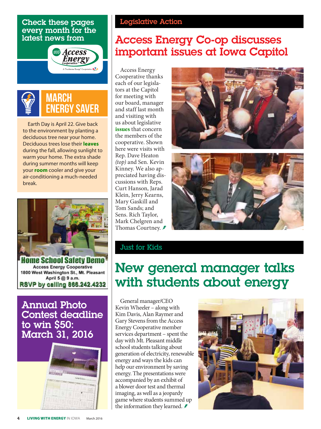#### Check these pages every month for the latest news from





Earth Day is April 22. Give back to the environment by planting a deciduous tree near your home. Deciduous trees lose their **leaves** during the fall, allowing sunlight to warm your home. The extra shade during summer months will keep your **room** cooler and give your air-conditioning a much-needed break.



Home School Satety Demo **Access Energy Cooperative** 1800 West Washington St., Mt. Pleasant April 5 @ 9 a.m. RSVP by calling 866.242.4232

Annual Photo Contest deadline to win \$50: March 31, 2016



## Legislative Action

# Access Energy Co-op discusses important issues at Iowa Capitol

Access Energy Cooperative thanks each of our legislators at the Capitol for meeting with our board, manager and staff last month and visiting with us about legislative **issues** that concern the members of the cooperative. Shown here were visits with Rep. Dave Heaton *(top)* and Sen. Kevin Kinney. We also appreciated having discussions with Reps. Curt Hanson, Jarad Klein, Jerry Kearns, Mary Gaskill and Tom Sands; and Sens. Rich Taylor, Mark Chelgren and Thomas Courtney. *≸* 





## Just for Kids

# New general manager talks with students about energy

General manager/CEO Kevin Wheeler – along with Kim Davis, Alan Raymer and Gary Stevens from the Access Energy Cooperative member services department – spent the day with Mt. Pleasant middle school students talking about generation of electricity, renewable energy and ways the kids can help our environment by saving energy. The presentations were accompanied by an exhibit of a blower door test and thermal imaging, as well as a jeopardy game where students summed up the information they learned.  $\blacktriangleright$